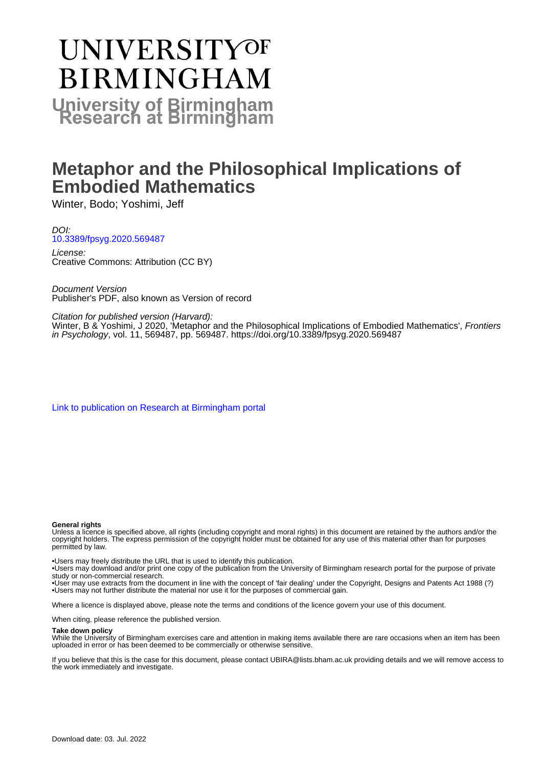# **UNIVERSITYOF BIRMINGHAM University of Birmingham**

# **Metaphor and the Philosophical Implications of Embodied Mathematics**

Winter, Bodo; Yoshimi, Jeff

DOI: [10.3389/fpsyg.2020.569487](https://doi.org/10.3389/fpsyg.2020.569487)

License: Creative Commons: Attribution (CC BY)

Document Version Publisher's PDF, also known as Version of record

Citation for published version (Harvard):

Winter, B & Yoshimi, J 2020, 'Metaphor and the Philosophical Implications of Embodied Mathematics', Frontiers in Psychology, vol. 11, 569487, pp. 569487. <https://doi.org/10.3389/fpsyg.2020.569487>

[Link to publication on Research at Birmingham portal](https://birmingham.elsevierpure.com/en/publications/bafc99d9-0f9c-473c-937e-145ab5243155)

#### **General rights**

Unless a licence is specified above, all rights (including copyright and moral rights) in this document are retained by the authors and/or the copyright holders. The express permission of the copyright holder must be obtained for any use of this material other than for purposes permitted by law.

• Users may freely distribute the URL that is used to identify this publication.

• Users may download and/or print one copy of the publication from the University of Birmingham research portal for the purpose of private study or non-commercial research.

• User may use extracts from the document in line with the concept of 'fair dealing' under the Copyright, Designs and Patents Act 1988 (?) • Users may not further distribute the material nor use it for the purposes of commercial gain.

Where a licence is displayed above, please note the terms and conditions of the licence govern your use of this document.

When citing, please reference the published version.

#### **Take down policy**

While the University of Birmingham exercises care and attention in making items available there are rare occasions when an item has been uploaded in error or has been deemed to be commercially or otherwise sensitive.

If you believe that this is the case for this document, please contact UBIRA@lists.bham.ac.uk providing details and we will remove access to the work immediately and investigate.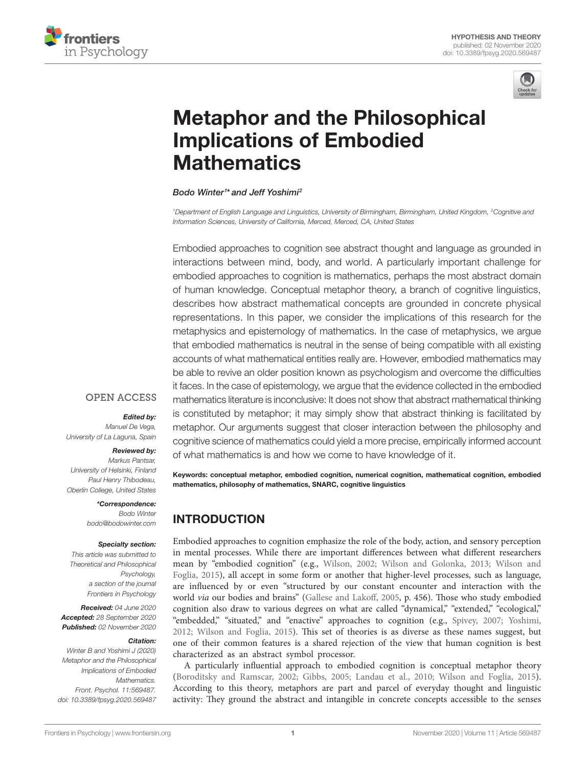



# [Metaphor and the Philosophical](https://www.frontiersin.org/articles/10.3389/fpsyg.2020.569487/full)  [Implications of Embodied](https://www.frontiersin.org/articles/10.3389/fpsyg.2020.569487/full)  **[Mathematics](https://www.frontiersin.org/articles/10.3389/fpsyg.2020.569487/full)**

#### *Bodo Winter1 \* and Jeff Yoshimi2*

*1 Department of English Language and Linguistics, University of Birmingham, Birmingham, United Kingdom, 2Cognitive and Information Sciences, University of California, Merced, Merced, CA, United States*

Embodied approaches to cognition see abstract thought and language as grounded in interactions between mind, body, and world. A particularly important challenge for embodied approaches to cognition is mathematics, perhaps the most abstract domain of human knowledge. Conceptual metaphor theory, a branch of cognitive linguistics, describes how abstract mathematical concepts are grounded in concrete physical representations. In this paper, we consider the implications of this research for the metaphysics and epistemology of mathematics. In the case of metaphysics, we argue that embodied mathematics is neutral in the sense of being compatible with all existing accounts of what mathematical entities really are. However, embodied mathematics may be able to revive an older position known as psychologism and overcome the difficulties it faces. In the case of epistemology, we argue that the evidence collected in the embodied mathematics literature is inconclusive: It does not show that abstract mathematical thinking is constituted by metaphor; it may simply show that abstract thinking is facilitated by metaphor. Our arguments suggest that closer interaction between the philosophy and cognitive science of mathematics could yield a more precise, empirically informed account of what mathematics is and how we come to have knowledge of it.

### **OPEN ACCESS**

#### *Edited by:*

*Manuel De Vega, University of La Laguna, Spain*

#### *Reviewed by:*

*Markus Pantsar, University of Helsinki, Finland Paul Henry Thibodeau, Oberlin College, United States*

#### *\*Correspondence:*

*Bodo Winter [bodo@bodowinter.com](mailto:bodo@bodowinter.com)*

#### *Specialty section:*

*This article was submitted to Theoretical and Philosophical Psychology, a section of the journal Frontiers in Psychology*

*Received: 04 June 2020 Accepted: 28 September 2020 Published: 02 November 2020*

#### *Citation:*

*Winter B and Yoshimi J (2020) Metaphor and the Philosophical Implications of Embodied Mathematics. Front. Psychol. 11:569487. [doi: 10.3389/fpsyg.2020.569487](https://doi.org/10.3389/fpsyg.2020.569487)* Keywords: conceptual metaphor, embodied cognition, numerical cognition, mathematical cognition, embodied mathematics, philosophy of mathematics, SNARC, cognitive linguistics

# INTRODUCTION

Embodied approaches to cognition emphasize the role of the body, action, and sensory perception in mental processes. While there are important differences between what different researchers mean by "embodied cognition" (e.g., [Wilson, 2002;](#page-13-0) [Wilson and Golonka, 2013;](#page-13-1) [Wilson and](#page-13-2)  [Foglia, 2015\)](#page-13-2), all accept in some form or another that higher-level processes, such as language, are influenced by or even "structured by our constant encounter and interaction with the world *via* our bodies and brains" [\(Gallese and Lakoff, 2005,](#page-12-0) p. 456). Those who study embodied cognition also draw to various degrees on what are called "dynamical," "extended," "ecological," "embedded," "situated," and "enactive" approaches to cognition (e.g., [Spivey, 2007](#page-13-3); [Yoshimi,](#page-13-4)  [2012;](#page-13-4) [Wilson and Foglia, 2015](#page-13-2)). This set of theories is as diverse as these names suggest, but one of their common features is a shared rejection of the view that human cognition is best characterized as an abstract symbol processor.

A particularly influential approach to embodied cognition is conceptual metaphor theory [\(Boroditsky and Ramscar, 2002](#page-11-0); [Gibbs, 2005;](#page-12-1) [Landau et al., 2010](#page-12-2); [Wilson and Foglia, 2015](#page-13-2)). According to this theory, metaphors are part and parcel of everyday thought and linguistic activity: They ground the abstract and intangible in concrete concepts accessible to the senses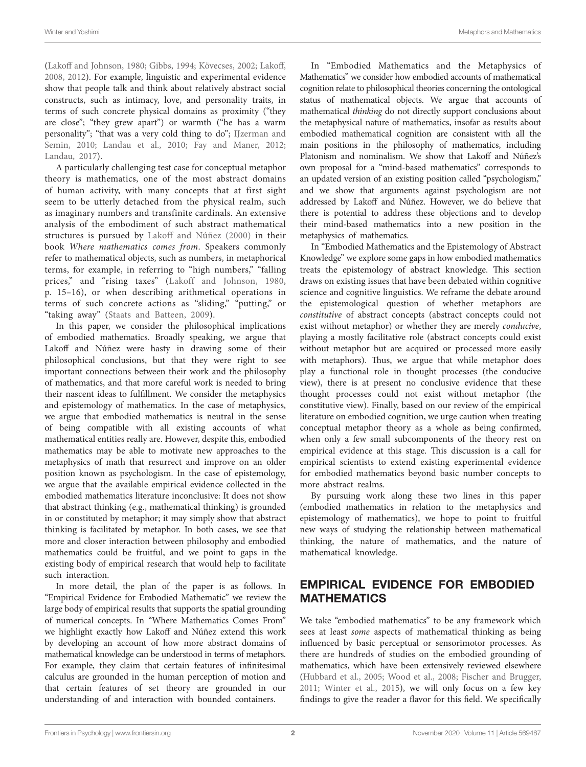([Lakoff and Johnson, 1980;](#page-12-3) [Gibbs, 1994](#page-12-4); [Kövecses, 2002](#page-12-5); [Lakoff,](#page-12-6)  [2008,](#page-12-6) [2012](#page-12-7)). For example, linguistic and experimental evidence show that people talk and think about relatively abstract social constructs, such as intimacy, love, and personality traits, in terms of such concrete physical domains as proximity ("they are close"; "they grew apart") or warmth ("he has a warm personality"; "that was a very cold thing to do"; IJzerman and [Semin, 2010](#page-12-8); [Landau et al., 2010](#page-12-2); [Fay and Maner, 2012](#page-12-9); [Landau, 2017\)](#page-12-10).

A particularly challenging test case for conceptual metaphor theory is mathematics, one of the most abstract domains of human activity, with many concepts that at first sight seem to be utterly detached from the physical realm, such as imaginary numbers and transfinite cardinals. An extensive analysis of the embodiment of such abstract mathematical structures is pursued by [Lakoff and Núñez \(2000\)](#page-12-11) in their book *Where mathematics comes from*. Speakers commonly refer to mathematical objects, such as numbers, in metaphorical terms, for example, in referring to "high numbers," "falling prices," and "rising taxes" ([Lakoff and Johnson, 1980](#page-12-3), p. 15–16), or when describing arithmetical operations in terms of such concrete actions as "sliding," "putting," or "taking away" [\(Staats and Batteen, 2009\)](#page-13-5).

In this paper, we consider the philosophical implications of embodied mathematics. Broadly speaking, we argue that Lakoff and Núñez were hasty in drawing some of their philosophical conclusions, but that they were right to see important connections between their work and the philosophy of mathematics, and that more careful work is needed to bring their nascent ideas to fulfillment. We consider the metaphysics and epistemology of mathematics. In the case of metaphysics, we argue that embodied mathematics is neutral in the sense of being compatible with all existing accounts of what mathematical entities really are. However, despite this, embodied mathematics may be able to motivate new approaches to the metaphysics of math that resurrect and improve on an older position known as psychologism. In the case of epistemology, we argue that the available empirical evidence collected in the embodied mathematics literature inconclusive: It does not show that abstract thinking (e.g., mathematical thinking) is grounded in or constituted by metaphor; it may simply show that abstract thinking is facilitated by metaphor. In both cases, we see that more and closer interaction between philosophy and embodied mathematics could be fruitful, and we point to gaps in the existing body of empirical research that would help to facilitate such interaction.

In more detail, the plan of the paper is as follows. In "Empirical Evidence for Embodied Mathematic" we review the large body of empirical results that supports the spatial grounding of numerical concepts. In "Where Mathematics Comes From" we highlight exactly how Lakoff and Núñez extend this work by developing an account of how more abstract domains of mathematical knowledge can be understood in terms of metaphors. For example, they claim that certain features of infinitesimal calculus are grounded in the human perception of motion and that certain features of set theory are grounded in our understanding of and interaction with bounded containers.

In "Embodied Mathematics and the Metaphysics of Mathematics" we consider how embodied accounts of mathematical cognition relate to philosophical theories concerning the ontological status of mathematical objects. We argue that accounts of mathematical *thinking* do not directly support conclusions about the metaphysical nature of mathematics, insofar as results about embodied mathematical cognition are consistent with all the main positions in the philosophy of mathematics, including Platonism and nominalism. We show that Lakoff and Núñez's own proposal for a "mind-based mathematics" corresponds to an updated version of an existing position called "psychologism," and we show that arguments against psychologism are not addressed by Lakoff and Núñez. However, we do believe that there is potential to address these objections and to develop their mind-based mathematics into a new position in the metaphysics of mathematics.

In "Embodied Mathematics and the Epistemology of Abstract Knowledge" we explore some gaps in how embodied mathematics treats the epistemology of abstract knowledge. This section draws on existing issues that have been debated within cognitive science and cognitive linguistics. We reframe the debate around the epistemological question of whether metaphors are *constitutive* of abstract concepts (abstract concepts could not exist without metaphor) or whether they are merely *conducive*, playing a mostly facilitative role (abstract concepts could exist without metaphor but are acquired or processed more easily with metaphors). Thus, we argue that while metaphor does play a functional role in thought processes (the conducive view), there is at present no conclusive evidence that these thought processes could not exist without metaphor (the constitutive view). Finally, based on our review of the empirical literature on embodied cognition, we urge caution when treating conceptual metaphor theory as a whole as being confirmed, when only a few small subcomponents of the theory rest on empirical evidence at this stage. This discussion is a call for empirical scientists to extend existing experimental evidence for embodied mathematics beyond basic number concepts to more abstract realms.

By pursuing work along these two lines in this paper (embodied mathematics in relation to the metaphysics and epistemology of mathematics), we hope to point to fruitful new ways of studying the relationship between mathematical thinking, the nature of mathematics, and the nature of mathematical knowledge.

# EMPIRICAL EVIDENCE FOR EMBODIED **MATHEMATICS**

We take "embodied mathematics" to be any framework which sees at least *some* aspects of mathematical thinking as being influenced by basic perceptual or sensorimotor processes. As there are hundreds of studies on the embodied grounding of mathematics, which have been extensively reviewed elsewhere [\(Hubbard et al., 2005](#page-12-12); [Wood et al., 2008](#page-13-6); [Fischer and Brugger,](#page-12-13)  [2011;](#page-12-13) [Winter et al., 2015](#page-13-7)), we will only focus on a few key findings to give the reader a flavor for this field. We specifically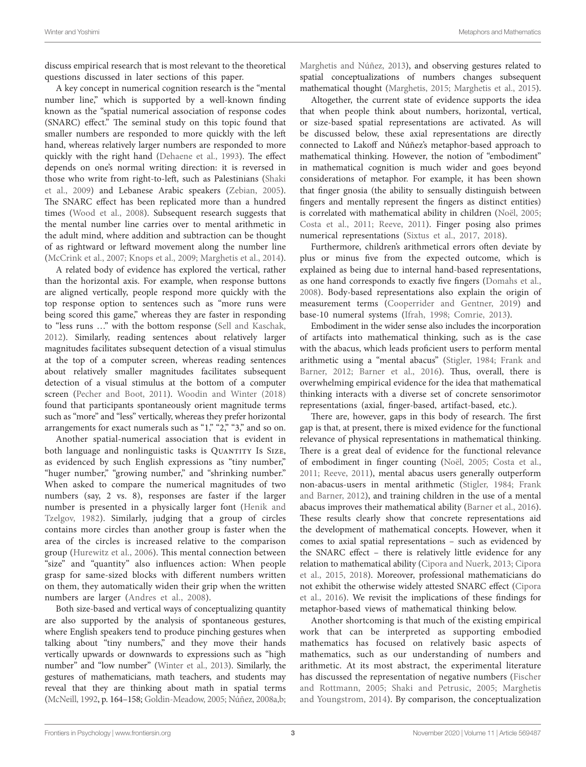discuss empirical research that is most relevant to the theoretical questions discussed in later sections of this paper.

A key concept in numerical cognition research is the "mental number line," which is supported by a well-known finding known as the "spatial numerical association of response codes (SNARC) effect." The seminal study on this topic found that smaller numbers are responded to more quickly with the left hand, whereas relatively larger numbers are responded to more quickly with the right hand [\(Dehaene et al., 1993](#page-12-14)). The effect depends on one's normal writing direction: it is reversed in those who write from right-to-left, such as Palestinians ([Shaki](#page-13-8)  [et al., 2009](#page-13-8)) and Lebanese Arabic speakers ([Zebian, 2005](#page-13-9)). The SNARC effect has been replicated more than a hundred times ([Wood et al., 2008](#page-13-6)). Subsequent research suggests that the mental number line carries over to mental arithmetic in the adult mind, where addition and subtraction can be thought of as rightward or leftward movement along the number line ([McCrink et al., 2007](#page-13-10); [Knops et al., 2009;](#page-12-15) [Marghetis et al., 2014](#page-13-11)).

A related body of evidence has explored the vertical, rather than the horizontal axis. For example, when response buttons are aligned vertically, people respond more quickly with the top response option to sentences such as "more runs were being scored this game," whereas they are faster in responding to "less runs …" with the bottom response ([Sell and Kaschak,](#page-13-12)  [2012\)](#page-13-12). Similarly, reading sentences about relatively larger magnitudes facilitates subsequent detection of a visual stimulus at the top of a computer screen, whereas reading sentences about relatively smaller magnitudes facilitates subsequent detection of a visual stimulus at the bottom of a computer screen ([Pecher and Boot, 2011\)](#page-13-13). [Woodin and Winter \(2018\)](#page-13-14) found that participants spontaneously orient magnitude terms such as "more" and "less" vertically, whereas they prefer horizontal arrangements for exact numerals such as "1," "2," "3," and so on.

Another spatial-numerical association that is evident in both language and nonlinguistic tasks is QUANTITY Is SIZE, as evidenced by such English expressions as "tiny number," "huger number," "growing number," and "shrinking number." When asked to compare the numerical magnitudes of two numbers (say, 2 vs. 8), responses are faster if the larger number is presented in a physically larger font ([Henik and](#page-12-16)  [Tzelgov, 1982](#page-12-16)). Similarly, judging that a group of circles contains more circles than another group is faster when the area of the circles is increased relative to the comparison group [\(Hurewitz et al., 2006](#page-12-17)). This mental connection between "size" and "quantity" also influences action: When people grasp for same-sized blocks with different numbers written on them, they automatically widen their grip when the written numbers are larger ([Andres et al., 2008\)](#page-11-1).

Both size-based and vertical ways of conceptualizing quantity are also supported by the analysis of spontaneous gestures, where English speakers tend to produce pinching gestures when talking about "tiny numbers," and they move their hands vertically upwards or downwards to expressions such as "high number" and "low number" [\(Winter et al., 2013\)](#page-13-15). Similarly, the gestures of mathematicians, math teachers, and students may reveal that they are thinking about math in spatial terms [\(McNeill, 1992](#page-13-16), p. 164–158; [Goldin-Meadow, 2005](#page-12-18); [Núñez, 2008a,](#page-13-17)[b](#page-13-18); [Marghetis and Núñez, 2013](#page-13-19)), and observing gestures related to spatial conceptualizations of numbers changes subsequent mathematical thought ([Marghetis, 2015;](#page-12-19) [Marghetis et al., 2015\)](#page-13-20).

Altogether, the current state of evidence supports the idea that when people think about numbers, horizontal, vertical, or size-based spatial representations are activated. As will be discussed below, these axial representations are directly connected to Lakoff and Núñez's metaphor-based approach to mathematical thinking. However, the notion of "embodiment" in mathematical cognition is much wider and goes beyond considerations of metaphor. For example, it has been shown that finger gnosia (the ability to sensually distinguish between fingers and mentally represent the fingers as distinct entities) is correlated with mathematical ability in children [\(Noël, 2005;](#page-13-21) [Costa et al., 2011;](#page-12-20) [Reeve, 2011\)](#page-13-22). Finger posing also primes numerical representations [\(Sixtus et al., 2017](#page-13-23), [2018\)](#page-13-24).

Furthermore, children's arithmetical errors often deviate by plus or minus five from the expected outcome, which is explained as being due to internal hand-based representations, as one hand corresponds to exactly five fingers ([Domahs et al.,](#page-12-21)  [2008\)](#page-12-21). Body-based representations also explain the origin of measurement terms ([Cooperrider and Gentner, 2019](#page-12-22)) and base-10 numeral systems [\(Ifrah, 1998;](#page-12-23) [Comrie, 2013](#page-12-24)).

Embodiment in the wider sense also includes the incorporation of artifacts into mathematical thinking, such as is the case with the abacus, which leads proficient users to perform mental arithmetic using a "mental abacus" ([Stigler, 1984](#page-13-25); [Frank and](#page-12-25)  [Barner, 2012;](#page-12-25) [Barner et al., 2016\)](#page-11-2). Thus, overall, there is overwhelming empirical evidence for the idea that mathematical thinking interacts with a diverse set of concrete sensorimotor representations (axial, finger-based, artifact-based, etc.).

There are, however, gaps in this body of research. The first gap is that, at present, there is mixed evidence for the functional relevance of physical representations in mathematical thinking. There is a great deal of evidence for the functional relevance of embodiment in finger counting [\(Noël, 2005](#page-13-21); [Costa et al.,](#page-12-20)  [2011;](#page-12-20) [Reeve, 2011](#page-13-22)), mental abacus users generally outperform non-abacus-users in mental arithmetic [\(Stigler, 1984;](#page-13-25) [Frank](#page-12-25)  [and Barner, 2012\)](#page-12-25), and training children in the use of a mental abacus improves their mathematical ability ([Barner et al., 2016](#page-11-2)). These results clearly show that concrete representations aid the development of mathematical concepts. However, when it comes to axial spatial representations – such as evidenced by the SNARC effect – there is relatively little evidence for any relation to mathematical ability [\(Cipora and Nuerk, 2013](#page-12-26); [Cipora](#page-12-27)  [et al., 2015](#page-12-27), [2018\)](#page-12-28). Moreover, professional mathematicians do not exhibit the otherwise widely attested SNARC effect ([Cipora](#page-11-3)  [et al., 2016\)](#page-11-3). We revisit the implications of these findings for metaphor-based views of mathematical thinking below.

Another shortcoming is that much of the existing empirical work that can be interpreted as supporting embodied mathematics has focused on relatively basic aspects of mathematics, such as our understanding of numbers and arithmetic. At its most abstract, the experimental literature has discussed the representation of negative numbers ([Fischer](#page-12-29)  [and Rottmann, 2005;](#page-12-29) [Shaki and Petrusic, 2005](#page-13-26); [Marghetis](#page-13-27)  [and Youngstrom, 2014](#page-13-27)). By comparison, the conceptualization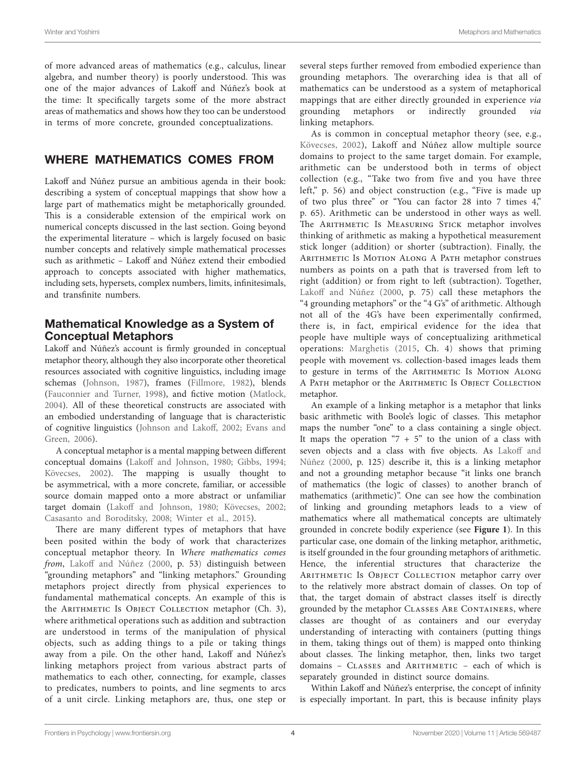of more advanced areas of mathematics (e.g., calculus, linear algebra, and number theory) is poorly understood. This was one of the major advances of Lakoff and Núñez's book at the time: It specifically targets some of the more abstract areas of mathematics and shows how they too can be understood in terms of more concrete, grounded conceptualizations.

# WHERE MATHEMATICS COMES FROM

Lakoff and Núñez pursue an ambitious agenda in their book: describing a system of conceptual mappings that show how a large part of mathematics might be metaphorically grounded. This is a considerable extension of the empirical work on numerical concepts discussed in the last section. Going beyond the experimental literature – which is largely focused on basic number concepts and relatively simple mathematical processes such as arithmetic – Lakoff and Núñez extend their embodied approach to concepts associated with higher mathematics, including sets, hypersets, complex numbers, limits, infinitesimals, and transfinite numbers.

### Mathematical Knowledge as a System of Conceptual Metaphors

Lakoff and Núñez's account is firmly grounded in conceptual metaphor theory, although they also incorporate other theoretical resources associated with cognitive linguistics, including image schemas ([Johnson, 1987](#page-12-30)), frames [\(Fillmore, 1982\)](#page-12-31), blends ([Fauconnier and Turner, 1998](#page-12-32)), and fictive motion [\(Matlock,](#page-13-28)  [2004\)](#page-13-28). All of these theoretical constructs are associated with an embodied understanding of language that is characteristic of cognitive linguistics ([Johnson and Lakoff, 2002;](#page-12-33) [Evans and](#page-12-34)  [Green, 2006\)](#page-12-34).

A conceptual metaphor is a mental mapping between different conceptual domains [\(Lakoff and Johnson, 1980;](#page-12-3) [Gibbs, 1994](#page-12-4); [Kövecses, 2002\)](#page-12-5). The mapping is usually thought to be asymmetrical, with a more concrete, familiar, or accessible source domain mapped onto a more abstract or unfamiliar target domain ([Lakoff and Johnson, 1980;](#page-12-3) [Kövecses, 2002](#page-12-5); [Casasanto and Boroditsky, 2008](#page-11-4); [Winter et al., 2015\)](#page-13-7).

There are many different types of metaphors that have been posited within the body of work that characterizes conceptual metaphor theory. In *Where mathematics comes from*, [Lakoff and Núñez \(2000,](#page-12-11) p. 53) distinguish between "grounding metaphors" and "linking metaphors." Grounding metaphors project directly from physical experiences to fundamental mathematical concepts. An example of this is the ARITHMETIC Is OBJECT COLLECTION metaphor (Ch. 3), where arithmetical operations such as addition and subtraction are understood in terms of the manipulation of physical objects, such as adding things to a pile or taking things away from a pile. On the other hand, Lakoff and Núñez's linking metaphors project from various abstract parts of mathematics to each other, connecting, for example, classes to predicates, numbers to points, and line segments to arcs of a unit circle. Linking metaphors are, thus, one step or several steps further removed from embodied experience than grounding metaphors. The overarching idea is that all of mathematics can be understood as a system of metaphorical mappings that are either directly grounded in experience *via*<br>grounding metaphors or indirectly grounded *via* grounding metaphors or indirectly grounded *via* linking metaphors.

As is common in conceptual metaphor theory (see, e.g., [Kövecses, 2002](#page-12-5)), Lakoff and Núñez allow multiple source domains to project to the same target domain. For example, arithmetic can be understood both in terms of object collection (e.g., "Take two from five and you have three left," p. 56) and object construction (e.g., "Five is made up of two plus three" or "You can factor 28 into 7 times 4," p. 65). Arithmetic can be understood in other ways as well. The ARITHMETIC Is MEASURING STICK metaphor involves thinking of arithmetic as making a hypothetical measurement stick longer (addition) or shorter (subtraction). Finally, the Arithmetic Is Motion Along A Path metaphor construes numbers as points on a path that is traversed from left to right (addition) or from right to left (subtraction). Together, [Lakoff and Núñez \(2000,](#page-12-11) p. 75) call these metaphors the "4 grounding metaphors" or the "4 G's" of arithmetic. Although not all of the 4G's have been experimentally confirmed, there is, in fact, empirical evidence for the idea that people have multiple ways of conceptualizing arithmetical operations: [Marghetis \(2015,](#page-13-20) Ch. 4) shows that priming people with movement vs. collection-based images leads them to gesture in terms of the ARITHMETIC Is MOTION ALONG A PATH metaphor or the ARITHMETIC Is OBJECT COLLECTION metaphor.

An example of a linking metaphor is a metaphor that links basic arithmetic with Boole's logic of classes. This metaphor maps the number "one" to a class containing a single object. It maps the operation " $7 + 5$ " to the union of a class with seven objects and a class with five objects. As [Lakoff and](#page-12-11)  [Núñez \(2000,](#page-12-11) p. 125) describe it, this is a linking metaphor and not a grounding metaphor because "it links one branch of mathematics (the logic of classes) to another branch of mathematics (arithmetic)". One can see how the combination of linking and grounding metaphors leads to a view of mathematics where all mathematical concepts are ultimately grounded in concrete bodily experience (see **[Figure 1](#page-5-0)**). In this particular case, one domain of the linking metaphor, arithmetic, is itself grounded in the four grounding metaphors of arithmetic. Hence, the inferential structures that characterize the ARITHMETIC IS OBJECT COLLECTION metaphor carry over to the relatively more abstract domain of classes. On top of that, the target domain of abstract classes itself is directly grounded by the metaphor CLASSES ARE CONTAINERS, where classes are thought of as containers and our everyday understanding of interacting with containers (putting things in them, taking things out of them) is mapped onto thinking about classes. The linking metaphor, then, links two target domains - CLASSES and ARITHMETIC - each of which is separately grounded in distinct source domains.

Within Lakoff and Núñez's enterprise, the concept of infinity is especially important. In part, this is because infinity plays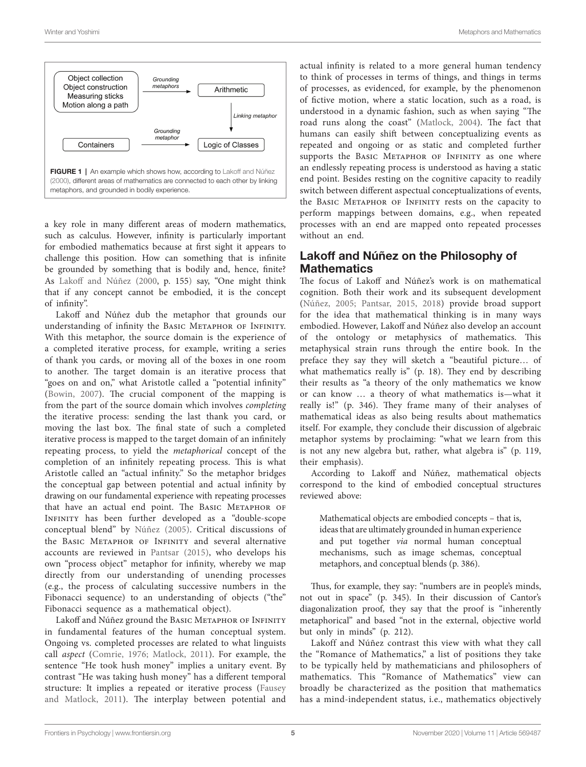<span id="page-5-0"></span>

a key role in many different areas of modern mathematics, such as calculus. However, infinity is particularly important for embodied mathematics because at first sight it appears to challenge this position. How can something that is infinite be grounded by something that is bodily and, hence, finite? As [Lakoff and Núñez \(2000](#page-12-11), p. 155) say, "One might think that if any concept cannot be embodied, it is the concept of infinity".

Lakoff and Núñez dub the metaphor that grounds our understanding of infinity the BASIC METAPHOR OF INFINITY. With this metaphor, the source domain is the experience of a completed iterative process, for example, writing a series of thank you cards, or moving all of the boxes in one room to another. The target domain is an iterative process that "goes on and on," what Aristotle called a "potential infinity" ([Bowin, 2007](#page-11-5)). The crucial component of the mapping is from the part of the source domain which involves *completing* the iterative process: sending the last thank you card, or moving the last box. The final state of such a completed iterative process is mapped to the target domain of an infinitely repeating process, to yield the *metaphorical* concept of the completion of an infinitely repeating process. This is what Aristotle called an "actual infinity." So the metaphor bridges the conceptual gap between potential and actual infinity by drawing on our fundamental experience with repeating processes that have an actual end point. The BASIC METAPHOR OF Infinity has been further developed as a "double-scope conceptual blend" by [Núñez \(2005\).](#page-13-29) Critical discussions of the BASIC METAPHOR OF INFINITY and several alternative accounts are reviewed in [Pantsar \(2015\)](#page-13-30), who develops his own "process object" metaphor for infinity, whereby we map directly from our understanding of unending processes (e.g., the process of calculating successive numbers in the Fibonacci sequence) to an understanding of objects ("the" Fibonacci sequence as a mathematical object).

Lakoff and Núñez ground the Basic METAPHOR OF INFINITY in fundamental features of the human conceptual system. Ongoing vs. completed processes are related to what linguists call *aspect* ([Comrie, 1976;](#page-12-35) [Matlock, 2011](#page-13-31)). For example, the sentence "He took hush money" implies a unitary event. By contrast "He was taking hush money" has a different temporal structure: It implies a repeated or iterative process [\(Fausey](#page-12-36)  [and Matlock, 2011\)](#page-12-36). The interplay between potential and

actual infinity is related to a more general human tendency to think of processes in terms of things, and things in terms of processes, as evidenced, for example, by the phenomenon of fictive motion, where a static location, such as a road, is understood in a dynamic fashion, such as when saying "The road runs along the coast" ([Matlock, 2004\)](#page-13-28). The fact that humans can easily shift between conceptualizing events as repeated and ongoing or as static and completed further supports the BASIC METAPHOR OF INFINITY as one where an endlessly repeating process is understood as having a static end point. Besides resting on the cognitive capacity to readily switch between different aspectual conceptualizations of events, the Basic Metaphor of Infinity rests on the capacity to perform mappings between domains, e.g., when repeated processes with an end are mapped onto repeated processes without an end.

### Lakoff and Núñez on the Philosophy of **Mathematics**

The focus of Lakoff and Núñez's work is on mathematical cognition. Both their work and its subsequent development [\(Núñez, 2005;](#page-13-29) [Pantsar, 2015,](#page-13-30) [2018](#page-13-32)) provide broad support for the idea that mathematical thinking is in many ways embodied. However, Lakoff and Núñez also develop an account of the ontology or metaphysics of mathematics. This metaphysical strain runs through the entire book. In the preface they say they will sketch a "beautiful picture… of what mathematics really is" (p. 18). They end by describing their results as "a theory of the only mathematics we know or can know … a theory of what mathematics is—what it really is!" (p. 346). They frame many of their analyses of mathematical ideas as also being results about mathematics itself. For example, they conclude their discussion of algebraic metaphor systems by proclaiming: "what we learn from this is not any new algebra but, rather, what algebra is" (p. 119, their emphasis).

According to Lakoff and Núñez, mathematical objects correspond to the kind of embodied conceptual structures reviewed above:

Mathematical objects are embodied concepts – that is, ideas that are ultimately grounded in human experience and put together *via* normal human conceptual mechanisms, such as image schemas, conceptual metaphors, and conceptual blends (p. 386).

Thus, for example, they say: "numbers are in people's minds, not out in space" (p. 345). In their discussion of Cantor's diagonalization proof, they say that the proof is "inherently metaphorical" and based "not in the external, objective world but only in minds" (p. 212).

Lakoff and Núñez contrast this view with what they call the "Romance of Mathematics," a list of positions they take to be typically held by mathematicians and philosophers of mathematics. This "Romance of Mathematics" view can broadly be characterized as the position that mathematics has a mind-independent status, i.e., mathematics objectively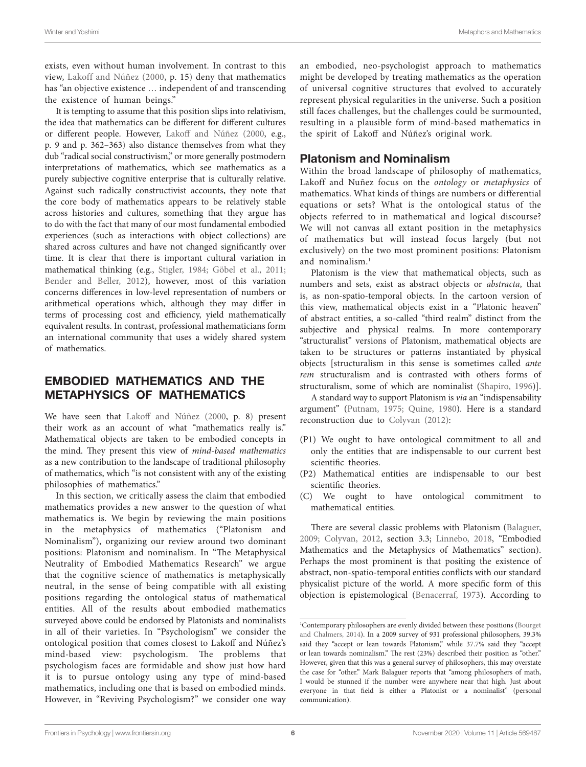exists, even without human involvement. In contrast to this view, [Lakoff and Núñez \(2000,](#page-12-11) p. 15) deny that mathematics has "an objective existence … independent of and transcending the existence of human beings."

It is tempting to assume that this position slips into relativism, the idea that mathematics can be different for different cultures or different people. However, [Lakoff and Núñez \(2000](#page-12-11), e.g., p. 9 and p. 362–363) also distance themselves from what they dub "radical social constructivism," or more generally postmodern interpretations of mathematics, which see mathematics as a purely subjective cognitive enterprise that is culturally relative. Against such radically constructivist accounts, they note that the core body of mathematics appears to be relatively stable across histories and cultures, something that they argue has to do with the fact that many of our most fundamental embodied experiences (such as interactions with object collections) are shared across cultures and have not changed significantly over time. It is clear that there is important cultural variation in mathematical thinking (e.g., [Stigler, 1984;](#page-13-25) [Göbel et al., 2011](#page-12-37); [Bender and Beller, 2012](#page-11-6)), however, most of this variation concerns differences in low-level representation of numbers or arithmetical operations which, although they may differ in terms of processing cost and efficiency, yield mathematically equivalent results. In contrast, professional mathematicians form an international community that uses a widely shared system of mathematics.

# EMBODIED MATHEMATICS AND THE METAPHYSICS OF MATHEMATICS

We have seen that [Lakoff and Núñez \(2000,](#page-12-11) p. 8) present their work as an account of what "mathematics really is." Mathematical objects are taken to be embodied concepts in the mind. They present this view of *mind-based mathematics* as a new contribution to the landscape of traditional philosophy of mathematics, which "is not consistent with any of the existing philosophies of mathematics."

In this section, we critically assess the claim that embodied mathematics provides a new answer to the question of what mathematics is. We begin by reviewing the main positions in the metaphysics of mathematics ("Platonism and Nominalism"), organizing our review around two dominant positions: Platonism and nominalism. In "The Metaphysical Neutrality of Embodied Mathematics Research" we argue that the cognitive science of mathematics is metaphysically neutral, in the sense of being compatible with all existing positions regarding the ontological status of mathematical entities. All of the results about embodied mathematics surveyed above could be endorsed by Platonists and nominalists in all of their varieties. In "Psychologism" we consider the ontological position that comes closest to Lakoff and Núñez's mind-based view: psychologism. The problems that psychologism faces are formidable and show just how hard it is to pursue ontology using any type of mind-based mathematics, including one that is based on embodied minds. However, in "Reviving Psychologism?" we consider one way

an embodied, neo-psychologist approach to mathematics might be developed by treating mathematics as the operation of universal cognitive structures that evolved to accurately represent physical regularities in the universe. Such a position still faces challenges, but the challenges could be surmounted, resulting in a plausible form of mind-based mathematics in the spirit of Lakoff and Núñez's original work.

#### Platonism and Nominalism

Within the broad landscape of philosophy of mathematics, Lakoff and Nuñez focus on the *ontology* or *metaphysics* of mathematics. What kinds of things are numbers or differential equations or sets? What is the ontological status of the objects referred to in mathematical and logical discourse? We will not canvas all extant position in the metaphysics of mathematics but will instead focus largely (but not exclusively) on the two most prominent positions: Platonism and nominalism.<sup>[1](#page-6-0)</sup>

Platonism is the view that mathematical objects, such as numbers and sets, exist as abstract objects or *abstracta*, that is, as non-spatio-temporal objects. In the cartoon version of this view, mathematical objects exist in a "Platonic heaven" of abstract entities, a so-called "third realm" distinct from the subjective and physical realms. In more contemporary "structuralist" versions of Platonism, mathematical objects are taken to be structures or patterns instantiated by physical objects [structuralism in this sense is sometimes called *ante rem* structuralism and is contrasted with others forms of structuralism, some of which are nominalist ([Shapiro, 1996](#page-13-33))].

A standard way to support Platonism is *via* an "indispensability argument" ([Putnam, 1975](#page-13-34); [Quine, 1980\)](#page-13-35). Here is a standard reconstruction due to [Colyvan \(2012\)](#page-12-38):

- (P1) We ought to have ontological commitment to all and only the entities that are indispensable to our current best scientific theories.
- (P2) Mathematical entities are indispensable to our best scientific theories.
- (C) We ought to have ontological commitment to mathematical entities.

There are several classic problems with Platonism ([Balaguer,](#page-11-7)  [2009;](#page-11-7) [Colyvan, 2012,](#page-12-38) section 3.3; [Linnebo, 2018,](#page-12-39) "Embodied Mathematics and the Metaphysics of Mathematics" section). Perhaps the most prominent is that positing the existence of abstract, non-spatio-temporal entities conflicts with our standard physicalist picture of the world. A more specific form of this objection is epistemological [\(Benacerraf, 1973](#page-11-8)). According to

<span id="page-6-0"></span><sup>1</sup> Contemporary philosophers are evenly divided between these positions ([Bourget](#page-11-9)  [and Chalmers, 2014](#page-11-9)). In a 2009 survey of 931 professional philosophers, 39.3% said they "accept or lean towards Platonism," while 37.7% said they "accept or lean towards nominalism." The rest (23%) described their position as "other." However, given that this was a general survey of philosophers, this may overstate the case for "other." Mark Balaguer reports that "among philosophers of math, I would be stunned if the number were anywhere near that high. Just about everyone in that field is either a Platonist or a nominalist" (personal communication).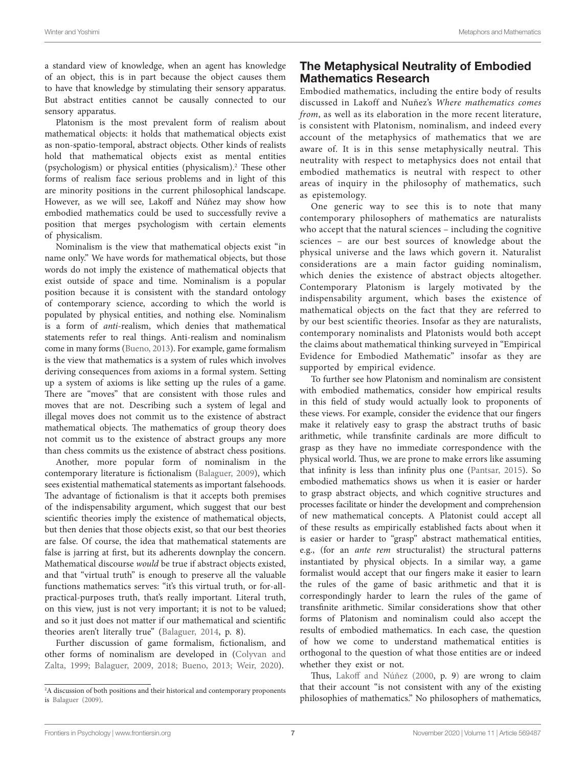a standard view of knowledge, when an agent has knowledge of an object, this is in part because the object causes them to have that knowledge by stimulating their sensory apparatus. But abstract entities cannot be causally connected to our sensory apparatus.

Platonism is the most prevalent form of realism about mathematical objects: it holds that mathematical objects exist as non-spatio-temporal, abstract objects. Other kinds of realists hold that mathematical objects exist as mental entities (psychologism) or physical entities (physicalism)[.2](#page-7-0) These other forms of realism face serious problems and in light of this are minority positions in the current philosophical landscape. However, as we will see, Lakoff and Núñez may show how embodied mathematics could be used to successfully revive a position that merges psychologism with certain elements of physicalism.

Nominalism is the view that mathematical objects exist "in name only." We have words for mathematical objects, but those words do not imply the existence of mathematical objects that exist outside of space and time. Nominalism is a popular position because it is consistent with the standard ontology of contemporary science, according to which the world is populated by physical entities, and nothing else. Nominalism is a form of *anti*-realism, which denies that mathematical statements refer to real things. Anti-realism and nominalism come in many forms [\(Bueno, 2013\)](#page-11-10). For example, game formalism is the view that mathematics is a system of rules which involves deriving consequences from axioms in a formal system. Setting up a system of axioms is like setting up the rules of a game. There are "moves" that are consistent with those rules and moves that are not. Describing such a system of legal and illegal moves does not commit us to the existence of abstract mathematical objects. The mathematics of group theory does not commit us to the existence of abstract groups any more than chess commits us the existence of abstract chess positions.

Another, more popular form of nominalism in the contemporary literature is fictionalism ([Balaguer, 2009](#page-11-7)), which sees existential mathematical statements as important falsehoods. The advantage of fictionalism is that it accepts both premises of the indispensability argument, which suggest that our best scientific theories imply the existence of mathematical objects, but then denies that those objects exist, so that our best theories are false. Of course, the idea that mathematical statements are false is jarring at first, but its adherents downplay the concern. Mathematical discourse *would* be true if abstract objects existed, and that "virtual truth" is enough to preserve all the valuable functions mathematics serves: "it's this virtual truth, or for-allpractical-purposes truth, that's really important. Literal truth, on this view, just is not very important; it is not to be valued; and so it just does not matter if our mathematical and scientific theories aren't literally true" [\(Balaguer, 2014](#page-11-11), p. 8).

Further discussion of game formalism, fictionalism, and other forms of nominalism are developed in [\(Colyvan and](#page-12-40)  [Zalta, 1999;](#page-12-40) [Balaguer, 2009,](#page-11-7) [2018](#page-11-12); [Bueno, 2013;](#page-11-10) [Weir, 2020\)](#page-13-36).

## The Metaphysical Neutrality of Embodied Mathematics Research

Embodied mathematics, including the entire body of results discussed in Lakoff and Nuñez's *Where mathematics comes from*, as well as its elaboration in the more recent literature, is consistent with Platonism, nominalism, and indeed every account of the metaphysics of mathematics that we are aware of. It is in this sense metaphysically neutral. This neutrality with respect to metaphysics does not entail that embodied mathematics is neutral with respect to other areas of inquiry in the philosophy of mathematics, such as epistemology.

One generic way to see this is to note that many contemporary philosophers of mathematics are naturalists who accept that the natural sciences – including the cognitive sciences – are our best sources of knowledge about the physical universe and the laws which govern it. Naturalist considerations are a main factor guiding nominalism, which denies the existence of abstract objects altogether. Contemporary Platonism is largely motivated by the indispensability argument, which bases the existence of mathematical objects on the fact that they are referred to by our best scientific theories. Insofar as they are naturalists, contemporary nominalists and Platonists would both accept the claims about mathematical thinking surveyed in "Empirical Evidence for Embodied Mathematic" insofar as they are supported by empirical evidence.

To further see how Platonism and nominalism are consistent with embodied mathematics, consider how empirical results in this field of study would actually look to proponents of these views. For example, consider the evidence that our fingers make it relatively easy to grasp the abstract truths of basic arithmetic, while transfinite cardinals are more difficult to grasp as they have no immediate correspondence with the physical world. Thus, we are prone to make errors like assuming that infinity is less than infinity plus one [\(Pantsar, 2015\)](#page-13-30). So embodied mathematics shows us when it is easier or harder to grasp abstract objects, and which cognitive structures and processes facilitate or hinder the development and comprehension of new mathematical concepts. A Platonist could accept all of these results as empirically established facts about when it is easier or harder to "grasp" abstract mathematical entities, e.g., (for an *ante rem* structuralist) the structural patterns instantiated by physical objects. In a similar way, a game formalist would accept that our fingers make it easier to learn the rules of the game of basic arithmetic and that it is correspondingly harder to learn the rules of the game of transfinite arithmetic. Similar considerations show that other forms of Platonism and nominalism could also accept the results of embodied mathematics. In each case, the question of how we come to understand mathematical entities is orthogonal to the question of what those entities are or indeed whether they exist or not.

Thus, [Lakoff and Núñez \(2000,](#page-12-11) p. 9) are wrong to claim that their account "is not consistent with any of the existing philosophies of mathematics." No philosophers of mathematics,

<span id="page-7-0"></span><sup>&</sup>lt;sup>2</sup>A discussion of both positions and their historical and contemporary proponents is [Balaguer \(2009\).](#page-11-7)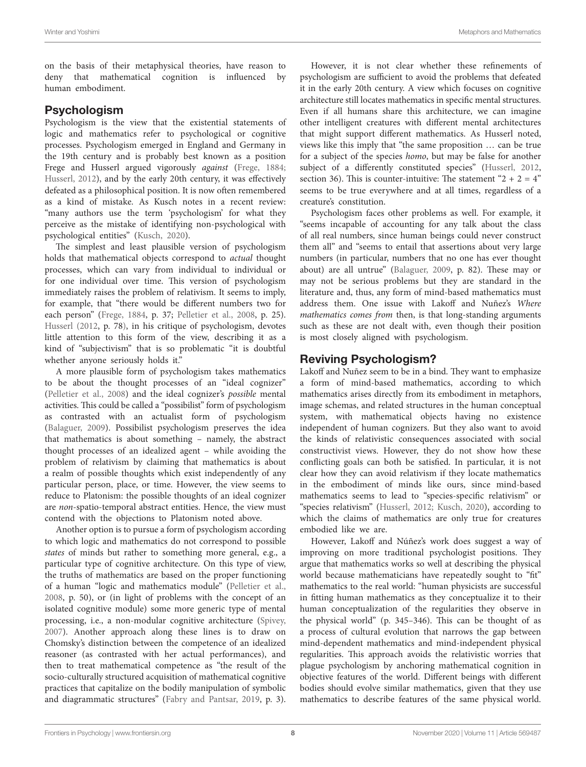on the basis of their metaphysical theories, have reason to deny that mathematical cognition is influenced by human embodiment.

#### Psychologism

Psychologism is the view that the existential statements of logic and mathematics refer to psychological or cognitive processes. Psychologism emerged in England and Germany in the 19th century and is probably best known as a position Frege and Husserl argued vigorously *against* [\(Frege, 1884](#page-12-41); [Husserl, 2012\)](#page-12-42), and by the early 20th century, it was effectively defeated as a philosophical position. It is now often remembered as a kind of mistake. As Kusch notes in a recent review: "many authors use the term 'psychologism' for what they perceive as the mistake of identifying non-psychological with psychological entities" ([Kusch, 2020\)](#page-12-43).

The simplest and least plausible version of psychologism holds that mathematical objects correspond to *actual* thought processes, which can vary from individual to individual or for one individual over time. This version of psychologism immediately raises the problem of relativism. It seems to imply, for example, that "there would be different numbers two for each person" ([Frege, 1884,](#page-12-41) p. 37; [Pelletier et al., 2008](#page-13-37), p. 25). [Husserl \(2012](#page-12-42), p. 78), in his critique of psychologism, devotes little attention to this form of the view, describing it as a kind of "subjectivism" that is so problematic "it is doubtful whether anyone seriously holds it."

A more plausible form of psychologism takes mathematics to be about the thought processes of an "ideal cognizer" ([Pelletier et al., 2008](#page-13-37)) and the ideal cognizer's *possible* mental activities. This could be called a "possibilist" form of psychologism as contrasted with an actualist form of psychologism ([Balaguer, 2009\)](#page-11-7). Possibilist psychologism preserves the idea that mathematics is about something – namely, the abstract thought processes of an idealized agent – while avoiding the problem of relativism by claiming that mathematics is about a realm of possible thoughts which exist independently of any particular person, place, or time. However, the view seems to reduce to Platonism: the possible thoughts of an ideal cognizer are *non*-spatio-temporal abstract entities. Hence, the view must contend with the objections to Platonism noted above.

Another option is to pursue a form of psychologism according to which logic and mathematics do not correspond to possible *states* of minds but rather to something more general, e.g., a particular type of cognitive architecture. On this type of view, the truths of mathematics are based on the proper functioning of a human "logic and mathematics module" [\(Pelletier et al.,](#page-13-37)  [2008,](#page-13-37) p. 50), or (in light of problems with the concept of an isolated cognitive module) some more generic type of mental processing, i.e., a non-modular cognitive architecture ([Spivey,](#page-13-3)  [2007\)](#page-13-3). Another approach along these lines is to draw on Chomsky's distinction between the competence of an idealized reasoner (as contrasted with her actual performances), and then to treat mathematical competence as "the result of the socio-culturally structured acquisition of mathematical cognitive practices that capitalize on the bodily manipulation of symbolic and diagrammatic structures" [\(Fabry and Pantsar, 2019,](#page-12-44) p. 3).

However, it is not clear whether these refinements of psychologism are sufficient to avoid the problems that defeated it in the early 20th century. A view which focuses on cognitive architecture still locates mathematics in specific mental structures. Even if all humans share this architecture, we can imagine other intelligent creatures with different mental architectures that might support different mathematics. As Husserl noted, views like this imply that "the same proposition … can be true for a subject of the species *homo*, but may be false for another subject of a differently constituted species" ([Husserl, 2012,](#page-12-42) section 36). This is counter-intuitive: The statement " $2 + 2 = 4$ " seems to be true everywhere and at all times, regardless of a creature's constitution.

Psychologism faces other problems as well. For example, it "seems incapable of accounting for any talk about the class of all real numbers, since human beings could never construct them all" and "seems to entail that assertions about very large numbers (in particular, numbers that no one has ever thought about) are all untrue" [\(Balaguer, 2009,](#page-11-7) p. 82). These may or may not be serious problems but they are standard in the literature and, thus, any form of mind-based mathematics must address them. One issue with Lakoff and Nuñez's *Where mathematics comes from* then, is that long-standing arguments such as these are not dealt with, even though their position is most closely aligned with psychologism.

# Reviving Psychologism?

Lakoff and Nuñez seem to be in a bind. They want to emphasize a form of mind-based mathematics, according to which mathematics arises directly from its embodiment in metaphors, image schemas, and related structures in the human conceptual system, with mathematical objects having no existence independent of human cognizers. But they also want to avoid the kinds of relativistic consequences associated with social constructivist views. However, they do not show how these conflicting goals can both be satisfied. In particular, it is not clear how they can avoid relativism if they locate mathematics in the embodiment of minds like ours, since mind-based mathematics seems to lead to "species-specific relativism" or "species relativism" ([Husserl, 2012;](#page-12-42) [Kusch, 2020](#page-12-43)), according to which the claims of mathematics are only true for creatures embodied like we are.

However, Lakoff and Núñez's work does suggest a way of improving on more traditional psychologist positions. They argue that mathematics works so well at describing the physical world because mathematicians have repeatedly sought to "fit" mathematics to the real world: "human physicists are successful in fitting human mathematics as they conceptualize it to their human conceptualization of the regularities they observe in the physical world" (p. 345–346). This can be thought of as a process of cultural evolution that narrows the gap between mind-dependent mathematics and mind-independent physical regularities. This approach avoids the relativistic worries that plague psychologism by anchoring mathematical cognition in objective features of the world. Different beings with different bodies should evolve similar mathematics, given that they use mathematics to describe features of the same physical world.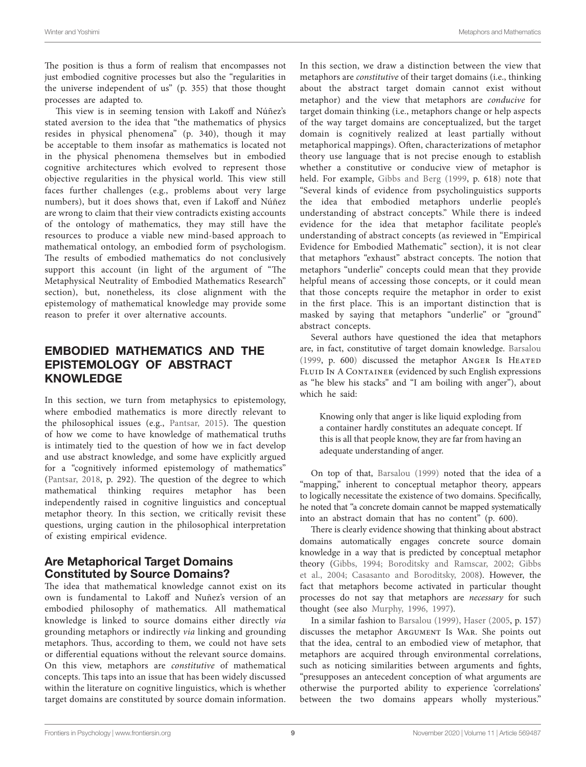The position is thus a form of realism that encompasses not just embodied cognitive processes but also the "regularities in the universe independent of us" (p. 355) that those thought processes are adapted to.

This view is in seeming tension with Lakoff and Núñez's stated aversion to the idea that "the mathematics of physics resides in physical phenomena" (p. 340), though it may be acceptable to them insofar as mathematics is located not in the physical phenomena themselves but in embodied cognitive architectures which evolved to represent those objective regularities in the physical world. This view still faces further challenges (e.g., problems about very large numbers), but it does shows that, even if Lakoff and Núñez are wrong to claim that their view contradicts existing accounts of the ontology of mathematics, they may still have the resources to produce a viable new mind-based approach to mathematical ontology, an embodied form of psychologism. The results of embodied mathematics do not conclusively support this account (in light of the argument of "The Metaphysical Neutrality of Embodied Mathematics Research" section), but, nonetheless, its close alignment with the epistemology of mathematical knowledge may provide some reason to prefer it over alternative accounts.

# EMBODIED MATHEMATICS AND THE EPISTEMOLOGY OF ABSTRACT KNOWLEDGE

In this section, we turn from metaphysics to epistemology, where embodied mathematics is more directly relevant to the philosophical issues (e.g., [Pantsar, 2015\)](#page-13-30). The question of how we come to have knowledge of mathematical truths is intimately tied to the question of how we in fact develop and use abstract knowledge, and some have explicitly argued for a "cognitively informed epistemology of mathematics" ([Pantsar, 2018,](#page-13-32) p. 292). The question of the degree to which mathematical thinking requires metaphor has been independently raised in cognitive linguistics and conceptual metaphor theory. In this section, we critically revisit these questions, urging caution in the philosophical interpretation of existing empirical evidence.

### Are Metaphorical Target Domains Constituted by Source Domains?

The idea that mathematical knowledge cannot exist on its own is fundamental to Lakoff and Nuñez's version of an embodied philosophy of mathematics. All mathematical knowledge is linked to source domains either directly *via* grounding metaphors or indirectly *via* linking and grounding metaphors. Thus, according to them, we could not have sets or differential equations without the relevant source domains. On this view, metaphors are *constitutive* of mathematical concepts. This taps into an issue that has been widely discussed within the literature on cognitive linguistics, which is whether target domains are constituted by source domain information.

In this section, we draw a distinction between the view that metaphors are *constitutive* of their target domains (i.e., thinking about the abstract target domain cannot exist without metaphor) and the view that metaphors are *conducive* for target domain thinking (i.e., metaphors change or help aspects of the way target domains are conceptualized, but the target domain is cognitively realized at least partially without metaphorical mappings). Often, characterizations of metaphor theory use language that is not precise enough to establish whether a constitutive or conducive view of metaphor is held. For example, [Gibbs and Berg \(1999](#page-12-45), p. 618) note that "Several kinds of evidence from psycholinguistics supports the idea that embodied metaphors underlie people's understanding of abstract concepts." While there is indeed evidence for the idea that metaphor facilitate people's understanding of abstract concepts (as reviewed in "Empirical Evidence for Embodied Mathematic" section), it is not clear that metaphors "exhaust" abstract concepts. The notion that metaphors "underlie" concepts could mean that they provide helpful means of accessing those concepts, or it could mean that those concepts require the metaphor in order to exist in the first place. This is an important distinction that is masked by saying that metaphors "underlie" or "ground" abstract concepts.

Several authors have questioned the idea that metaphors are, in fact, constitutive of target domain knowledge. [Barsalou](#page-11-13)  [\(1999](#page-11-13), p. 600) discussed the metaphor ANGER Is HEATED FLUID IN A CONTAINER (evidenced by such English expressions as "he blew his stacks" and "I am boiling with anger"), about which he said:

Knowing only that anger is like liquid exploding from a container hardly constitutes an adequate concept. If this is all that people know, they are far from having an adequate understanding of anger.

On top of that, [Barsalou \(1999\)](#page-11-13) noted that the idea of a "mapping," inherent to conceptual metaphor theory, appears to logically necessitate the existence of two domains. Specifically, he noted that "a concrete domain cannot be mapped systematically into an abstract domain that has no content" (p. 600).

There is clearly evidence showing that thinking about abstract domains automatically engages concrete source domain knowledge in a way that is predicted by conceptual metaphor theory ([Gibbs, 1994;](#page-12-4) [Boroditsky and Ramscar, 2002;](#page-11-0) [Gibbs](#page-12-46)  [et al., 2004;](#page-12-46) [Casasanto and Boroditsky, 2008\)](#page-11-4). However, the fact that metaphors become activated in particular thought processes do not say that metaphors are *necessary* for such thought (see also [Murphy, 1996,](#page-13-38) [1997](#page-13-39)).

In a similar fashion to [Barsalou \(1999\)](#page-11-13), [Haser \(2005](#page-12-47), p. 157) discusses the metaphor ARGUMENT Is WAR. She points out that the idea, central to an embodied view of metaphor, that metaphors are acquired through environmental correlations, such as noticing similarities between arguments and fights, "presupposes an antecedent conception of what arguments are otherwise the purported ability to experience 'correlations' between the two domains appears wholly mysterious."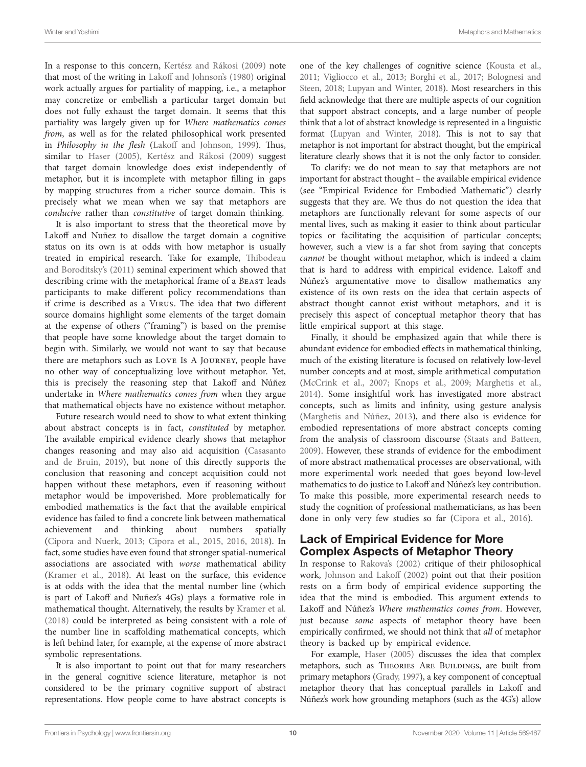In a response to this concern, [Kertész and Rákosi \(2009\)](#page-12-48) note that most of the writing in [Lakoff and Johnson's \(1980\)](#page-12-3) original work actually argues for partiality of mapping, i.e., a metaphor may concretize or embellish a particular target domain but does not fully exhaust the target domain. It seems that this partiality was largely given up for *Where mathematics comes from*, as well as for the related philosophical work presented in *Philosophy in the flesh* ([Lakoff and Johnson, 1999\)](#page-12-49). Thus, similar to [Haser \(2005\),](#page-12-47) [Kertész and Rákosi \(2009\)](#page-12-48) suggest that target domain knowledge does exist independently of metaphor, but it is incomplete with metaphor filling in gaps by mapping structures from a richer source domain. This is precisely what we mean when we say that metaphors are *conducive* rather than *constitutive* of target domain thinking.

It is also important to stress that the theoretical move by Lakoff and Nuñez to disallow the target domain a cognitive status on its own is at odds with how metaphor is usually treated in empirical research. Take for example, [Thibodeau](#page-13-40)  [and Boroditsky's \(2011\)](#page-13-40) seminal experiment which showed that describing crime with the metaphorical frame of a Beast leads participants to make different policy recommendations than if crime is described as a Virus. The idea that two different source domains highlight some elements of the target domain at the expense of others ("framing") is based on the premise that people have some knowledge about the target domain to begin with. Similarly, we would not want to say that because there are metaphors such as Love Is A Journey, people have no other way of conceptualizing love without metaphor. Yet, this is precisely the reasoning step that Lakoff and Núñez undertake in *Where mathematics comes from* when they argue that mathematical objects have no existence without metaphor.

Future research would need to show to what extent thinking about abstract concepts is in fact, *constituted* by metaphor. The available empirical evidence clearly shows that metaphor changes reasoning and may also aid acquisition ([Casasanto](#page-11-14)  [and de Bruin, 2019](#page-11-14)), but none of this directly supports the conclusion that reasoning and concept acquisition could not happen without these metaphors, even if reasoning without metaphor would be impoverished. More problematically for embodied mathematics is the fact that the available empirical evidence has failed to find a concrete link between mathematical achievement and thinking about numbers spatially ([Cipora and Nuerk, 2013;](#page-12-26) [Cipora et al., 2015,](#page-12-27) [2016,](#page-11-3) [2018](#page-12-28)). In fact, some studies have even found that stronger spatial-numerical associations are associated with *worse* mathematical ability ([Kramer et al., 2018\)](#page-12-50). At least on the surface, this evidence is at odds with the idea that the mental number line (which is part of Lakoff and Nuñez's 4Gs) plays a formative role in mathematical thought. Alternatively, the results by [Kramer et al.](#page-12-50)  [\(2018\)](#page-12-50) could be interpreted as being consistent with a role of the number line in scaffolding mathematical concepts, which is left behind later, for example, at the expense of more abstract symbolic representations.

It is also important to point out that for many researchers in the general cognitive science literature, metaphor is not considered to be the primary cognitive support of abstract representations. How people come to have abstract concepts is one of the key challenges of cognitive science [\(Kousta et al.,](#page-12-51)  [2011;](#page-12-51) [Vigliocco et al., 2013;](#page-13-41) [Borghi et al., 2017](#page-11-15); [Bolognesi and](#page-11-16)  [Steen, 2018;](#page-11-16) [Lupyan and Winter, 2018](#page-12-52)). Most researchers in this field acknowledge that there are multiple aspects of our cognition that support abstract concepts, and a large number of people think that a lot of abstract knowledge is represented in a linguistic format ([Lupyan and Winter, 2018\)](#page-12-52). This is not to say that metaphor is not important for abstract thought, but the empirical literature clearly shows that it is not the only factor to consider.

To clarify: we do not mean to say that metaphors are not important for abstract thought – the available empirical evidence (see "Empirical Evidence for Embodied Mathematic") clearly suggests that they are. We thus do not question the idea that metaphors are functionally relevant for some aspects of our mental lives, such as making it easier to think about particular topics or facilitating the acquisition of particular concepts; however, such a view is a far shot from saying that concepts *cannot* be thought without metaphor, which is indeed a claim that is hard to address with empirical evidence. Lakoff and Núñez's argumentative move to disallow mathematics any existence of its own rests on the idea that certain aspects of abstract thought cannot exist without metaphors, and it is precisely this aspect of conceptual metaphor theory that has little empirical support at this stage.

Finally, it should be emphasized again that while there is abundant evidence for embodied effects in mathematical thinking, much of the existing literature is focused on relatively low-level number concepts and at most, simple arithmetical computation [\(McCrink et al., 2007;](#page-13-10) [Knops et al., 2009;](#page-12-15) [Marghetis et al.,](#page-13-11)  [2014\)](#page-13-11). Some insightful work has investigated more abstract concepts, such as limits and infinity, using gesture analysis [\(Marghetis and Núñez, 2013](#page-13-19)), and there also is evidence for embodied representations of more abstract concepts coming from the analysis of classroom discourse ([Staats and Batteen,](#page-13-5)  [2009\)](#page-13-5). However, these strands of evidence for the embodiment of more abstract mathematical processes are observational, with more experimental work needed that goes beyond low-level mathematics to do justice to Lakoff and Núñez's key contribution. To make this possible, more experimental research needs to study the cognition of professional mathematicians, as has been done in only very few studies so far ([Cipora et al., 2016](#page-11-3)).

### Lack of Empirical Evidence for More Complex Aspects of Metaphor Theory

In response to [Rakova's \(2002\)](#page-13-42) critique of their philosophical work, [Johnson and Lakoff \(2002\)](#page-12-33) point out that their position rests on a firm body of empirical evidence supporting the idea that the mind is embodied. This argument extends to Lakoff and Núñez's *Where mathematics comes from*. However, just because *some* aspects of metaphor theory have been empirically confirmed, we should not think that *all* of metaphor theory is backed up by empirical evidence.

For example, [Haser \(2005\)](#page-12-47) discusses the idea that complex metaphors, such as THEORIES ARE BUILDINGS, are built from primary metaphors [\(Grady, 1997](#page-12-53)), a key component of conceptual metaphor theory that has conceptual parallels in Lakoff and Núñez's work how grounding metaphors (such as the 4G's) allow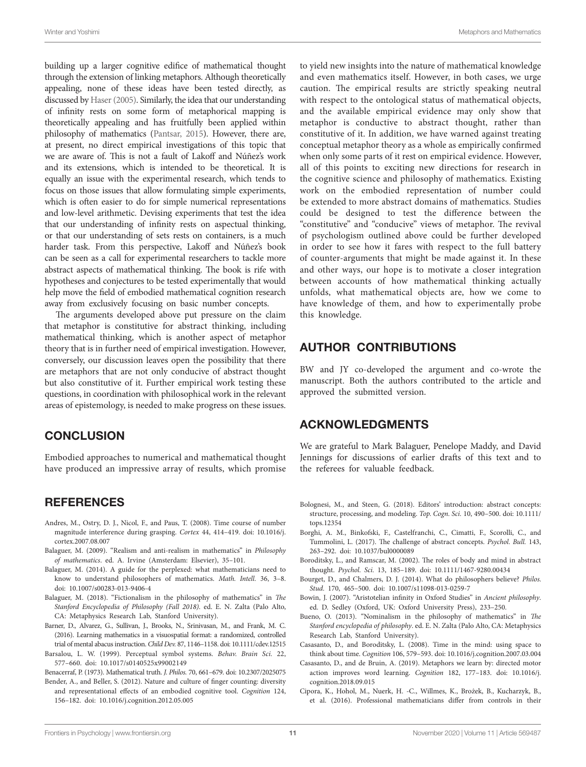building up a larger cognitive edifice of mathematical thought through the extension of linking metaphors. Although theoretically appealing, none of these ideas have been tested directly, as discussed by [Haser \(2005\)](#page-12-47). Similarly, the idea that our understanding of infinity rests on some form of metaphorical mapping is theoretically appealing and has fruitfully been applied within philosophy of mathematics [\(Pantsar, 2015](#page-13-30)). However, there are, at present, no direct empirical investigations of this topic that we are aware of. This is not a fault of Lakoff and Núñez's work and its extensions, which is intended to be theoretical. It is equally an issue with the experimental research, which tends to focus on those issues that allow formulating simple experiments, which is often easier to do for simple numerical representations and low-level arithmetic. Devising experiments that test the idea that our understanding of infinity rests on aspectual thinking, or that our understanding of sets rests on containers, is a much harder task. From this perspective, Lakoff and Núñez's book can be seen as a call for experimental researchers to tackle more abstract aspects of mathematical thinking. The book is rife with hypotheses and conjectures to be tested experimentally that would help move the field of embodied mathematical cognition research away from exclusively focusing on basic number concepts.

The arguments developed above put pressure on the claim that metaphor is constitutive for abstract thinking, including mathematical thinking, which is another aspect of metaphor theory that is in further need of empirical investigation. However, conversely, our discussion leaves open the possibility that there are metaphors that are not only conducive of abstract thought but also constitutive of it. Further empirical work testing these questions, in coordination with philosophical work in the relevant areas of epistemology, is needed to make progress on these issues.

#### **CONCLUSION**

Embodied approaches to numerical and mathematical thought have produced an impressive array of results, which promise

#### **REFERENCES**

- <span id="page-11-1"></span>Andres, M., Ostry, D. J., Nicol, F., and Paus, T. (2008). Time course of number magnitude interference during grasping. *Cortex* 44, 414–419. doi: [10.1016/j.](https://doi.org/10.1016/j.cortex.2007.08.007) [cortex.2007.08.007](https://doi.org/10.1016/j.cortex.2007.08.007)
- <span id="page-11-7"></span>Balaguer, M. (2009). "Realism and anti-realism in mathematics" in *Philosophy of mathematics*. ed. A. Irvine (Amsterdam: Elsevier), 35–101.
- <span id="page-11-11"></span>Balaguer, M. (2014). A guide for the perplexed: what mathematicians need to know to understand philosophers of mathematics. *Math. Intell.* 36, 3–8. doi: [10.1007/s00283-013-9406-4](https://doi.org/10.1007/s00283-013-9406-4)
- <span id="page-11-12"></span>Balaguer, M. (2018). "Fictionalism in the philosophy of mathematics" in *The Stanford Encyclopedia of Philosophy (Fall 2018)*. ed. E. N. Zalta (Palo Alto, CA: Metaphysics Research Lab, Stanford University).
- <span id="page-11-2"></span>Barner, D., Alvarez, G., Sullivan, J., Brooks, N., Srinivasan, M., and Frank, M. C. (2016). Learning mathematics in a visuospatial format: a randomized, controlled trial of mental abacus instruction. *Child Dev.* 87, 1146–1158. doi: [10.1111/cdev.12515](https://doi.org/10.1111/cdev.12515)
- <span id="page-11-13"></span>Barsalou, L. W. (1999). Perceptual symbol systems. *Behav. Brain Sci.* 22, 577–660. doi: [10.1017/s0140525x99002149](https://doi.org/10.1017/s0140525x99002149)

<span id="page-11-8"></span>Benacerraf, P. (1973). Mathematical truth. *J. Philos.* 70, 661–679. doi: [10.2307/2025075](https://doi.org/10.2307/2025075)

<span id="page-11-6"></span>Bender, A., and Beller, S. (2012). Nature and culture of finger counting: diversity and representational effects of an embodied cognitive tool. *Cognition* 124, 156–182. doi: [10.1016/j.cognition.2012.05.005](https://doi.org/10.1016/j.cognition.2012.05.005)

to yield new insights into the nature of mathematical knowledge and even mathematics itself. However, in both cases, we urge caution. The empirical results are strictly speaking neutral with respect to the ontological status of mathematical objects, and the available empirical evidence may only show that metaphor is conductive to abstract thought, rather than constitutive of it. In addition, we have warned against treating conceptual metaphor theory as a whole as empirically confirmed when only some parts of it rest on empirical evidence. However, all of this points to exciting new directions for research in the cognitive science and philosophy of mathematics. Existing work on the embodied representation of number could be extended to more abstract domains of mathematics. Studies could be designed to test the difference between the "constitutive" and "conducive" views of metaphor. The revival of psychologism outlined above could be further developed in order to see how it fares with respect to the full battery of counter-arguments that might be made against it. In these and other ways, our hope is to motivate a closer integration between accounts of how mathematical thinking actually unfolds, what mathematical objects are, how we come to have knowledge of them, and how to experimentally probe this knowledge.

#### AUTHOR CONTRIBUTIONS

BW and JY co-developed the argument and co-wrote the manuscript. Both the authors contributed to the article and approved the submitted version.

#### ACKNOWLEDGMENTS

We are grateful to Mark Balaguer, Penelope Maddy, and David Jennings for discussions of earlier drafts of this text and to the referees for valuable feedback.

- <span id="page-11-16"></span>Bolognesi, M., and Steen, G. (2018). Editors' introduction: abstract concepts: structure, processing, and modeling. *Top. Cogn. Sci.* 10, 490–500. doi: [10.1111/](https://doi.org/10.1111/tops.12354) [tops.12354](https://doi.org/10.1111/tops.12354)
- <span id="page-11-15"></span>Borghi, A. M., Binkofski, F., Castelfranchi, C., Cimatti, F., Scorolli, C., and Tummolini, L. (2017). The challenge of abstract concepts. *Psychol. Bull.* 143, 263–292. doi: [10.1037/bul0000089](https://doi.org/10.1037/bul0000089)
- <span id="page-11-0"></span>Boroditsky, L., and Ramscar, M. (2002). The roles of body and mind in abstract thought. *Psychol. Sci.* 13, 185–189. doi: [10.1111/1467-9280.00434](https://doi.org/10.1111/1467-9280.00434)
- <span id="page-11-9"></span>Bourget, D., and Chalmers, D. J. (2014). What do philosophers believe? *Philos. Stud.* 170, 465–500. doi: [10.1007/s11098-013-0259-7](https://doi.org/10.1007/s11098-013-0259-7)
- <span id="page-11-5"></span>Bowin, J. (2007). "Aristotelian infinity in Oxford Studies" in *Ancient philosophy*. ed. D. Sedley (Oxford, UK: Oxford University Press), 233–250.
- <span id="page-11-10"></span>Bueno, O. (2013). "Nominalism in the philosophy of mathematics" in *The Stanford encyclopedia of philosophy*. ed. E. N. Zalta (Palo Alto, CA: Metaphysics Research Lab, Stanford University).
- <span id="page-11-4"></span>Casasanto, D., and Boroditsky, L. (2008). Time in the mind: using space to think about time. *Cognition* 106, 579–593. doi: [10.1016/j.cognition.2007.03.004](https://doi.org/10.1016/j.cognition.2007.03.004)
- <span id="page-11-14"></span>Casasanto, D., and de Bruin, A. (2019). Metaphors we learn by: directed motor action improves word learning. *Cognition* 182, 177–183. doi: [10.1016/j.](https://doi.org/10.1016/j.cognition.2018.09.015) [cognition.2018.09.015](https://doi.org/10.1016/j.cognition.2018.09.015)
- <span id="page-11-3"></span>Cipora, K., Hohol, M., Nuerk, H. -C., Willmes, K., Brożek, B., Kucharzyk, B., et al. (2016). Professional mathematicians differ from controls in their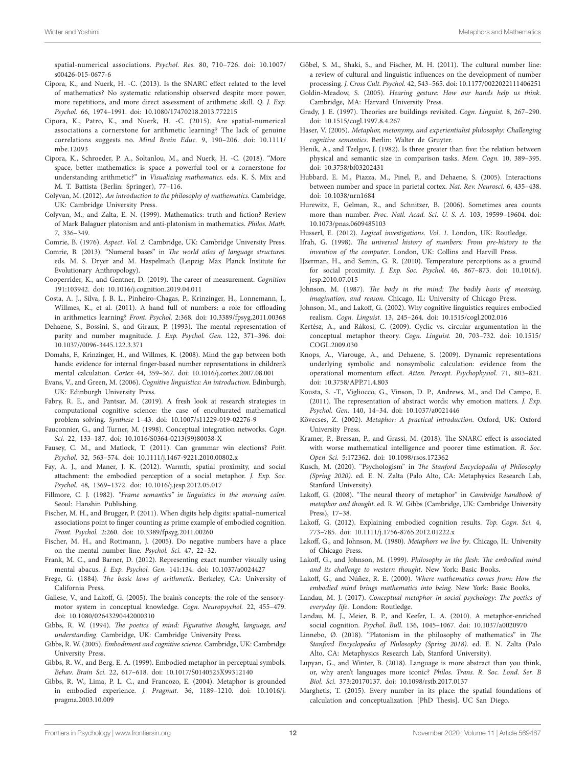spatial-numerical associations. *Psychol. Res.* 80, 710–726. doi: [10.1007/](https://doi.org/10.1007/s00426-015-0677-6) [s00426-015-0677-6](https://doi.org/10.1007/s00426-015-0677-6)

- <span id="page-12-26"></span>Cipora, K., and Nuerk, H. -C. (2013). Is the SNARC effect related to the level of mathematics? No systematic relationship observed despite more power, more repetitions, and more direct assessment of arithmetic skill. *Q. J. Exp. Psychol.* 66, 1974–1991. doi: [10.1080/17470218.2013.772215](https://doi.org/10.1080/17470218.2013.772215)
- <span id="page-12-27"></span>Cipora, K., Patro, K., and Nuerk, H. -C. (2015). Are spatial-numerical associations a cornerstone for arithmetic learning? The lack of genuine correlations suggests no. *Mind Brain Educ.* 9, 190–206. doi: [10.1111/](https://doi.org/10.1111/mbe.12093) [mbe.12093](https://doi.org/10.1111/mbe.12093)
- <span id="page-12-28"></span>Cipora, K., Schroeder, P. A., Soltanlou, M., and Nuerk, H. -C. (2018). "More space, better mathematics: is space a powerful tool or a cornerstone for understanding arithmetic?" in *Visualizing mathematics*. eds. K. S. Mix and M. T. Battista (Berlin: Springer), 77–116.
- <span id="page-12-38"></span>Colyvan, M. (2012). *An introduction to the philosophy of mathematics*. Cambridge, UK: Cambridge University Press.
- <span id="page-12-40"></span>Colyvan, M., and Zalta, E. N. (1999). Mathematics: truth and fiction? Review of Mark Balaguer platonism and anti-platonism in mathematics. *Philos. Math.* 7, 336–349.
- <span id="page-12-35"></span>Comrie, B. (1976). *Aspect*. *Vol. 2*. Cambridge, UK: Cambridge University Press.
- <span id="page-12-24"></span>Comrie, B. (2013). "Numeral bases" in *The world atlas of language structures*. eds. M. S. Dryer and M. Haspelmath (Leipzig: Max Planck Institute for Evolutionary Anthropology).
- <span id="page-12-22"></span>Cooperrider, K., and Gentner, D. (2019). The career of measurement. *Cognition* 191:103942. doi: [10.1016/j.cognition.2019.04.011](https://doi.org/10.1016/j.cognition.2019.04.011)
- <span id="page-12-20"></span>Costa, A. J., Silva, J. B. L., Pinheiro-Chagas, P., Krinzinger, H., Lonnemann, J., Willmes, K., et al. (2011). A hand full of numbers: a role for offloading in arithmetics learning? *Front. Psychol.* 2:368. doi: [10.3389/fpsyg.2011.00368](https://doi.org/10.3389/fpsyg.2011.00368)
- <span id="page-12-14"></span>Dehaene, S., Bossini, S., and Giraux, P. (1993). The mental representation of parity and number magnitude. *J. Exp. Psychol. Gen.* 122, 371–396. doi: [10.1037//0096-3445.122.3.371](https://doi.org/10.1037//0096-3445.122.3.371)
- <span id="page-12-21"></span>Domahs, F., Krinzinger, H., and Willmes, K. (2008). Mind the gap between both hands: evidence for internal finger-based number representations in children's mental calculation. *Cortex* 44, 359–367. doi: [10.1016/j.cortex.2007.08.001](https://doi.org/10.1016/j.cortex.2007.08.001)
- <span id="page-12-34"></span>Evans, V., and Green, M. (2006). *Cognitive linguistics: An introduction*. Edinburgh, UK: Edinburgh University Press.
- <span id="page-12-44"></span>Fabry, R. E., and Pantsar, M. (2019). A fresh look at research strategies in computational cognitive science: the case of enculturated mathematical problem solving. *Synthese* 1–43. doi: [10.1007/s11229-019-02276-9](https://doi.org/10.1007/s11229-019-02276-9)
- <span id="page-12-32"></span>Fauconnier, G., and Turner, M. (1998). Conceptual integration networks. *Cogn. Sci.* 22, 133–187. doi: [10.1016/S0364-0213\(99\)80038-X](https://doi.org/10.1016/S0364-0213(99)80038-X)
- <span id="page-12-36"></span>Fausey, C. M., and Matlock, T. (2011). Can grammar win elections? *Polit. Psychol.* 32, 563–574. doi: [10.1111/j.1467-9221.2010.00802.x](https://doi.org/10.1111/j.1467-9221.2010.00802.x)
- <span id="page-12-9"></span>Fay, A. J., and Maner, J. K. (2012). Warmth, spatial proximity, and social attachment: the embodied perception of a social metaphor. *J. Exp. Soc. Psychol.* 48, 1369–1372. doi: [10.1016/j.jesp.2012.05.017](https://doi.org/10.1016/j.jesp.2012.05.017)
- <span id="page-12-31"></span>Fillmore, C. J. (1982). *"Frame semantics" in linguistics in the morning calm*. Seoul: Hanshin Publishing.
- <span id="page-12-13"></span>Fischer, M. H., and Brugger, P. (2011). When digits help digits: spatial–numerical associations point to finger counting as prime example of embodied cognition. *Front. Psychol.* 2:260. doi: [10.3389/fpsyg.2011.00260](https://doi.org/10.3389/fpsyg.2011.00260)
- <span id="page-12-29"></span>Fischer, M. H., and Rottmann, J. (2005). Do negative numbers have a place on the mental number line. *Psychol. Sci.* 47, 22–32.
- <span id="page-12-25"></span>Frank, M. C., and Barner, D. (2012). Representing exact number visually using mental abacus. *J. Exp. Psychol. Gen.* 141:134. doi: [10.1037/a0024427](https://doi.org/10.1037/a0024427)
- <span id="page-12-41"></span>Frege, G. (1884). *The basic laws of arithmetic*. Berkeley, CA: University of California Press.
- <span id="page-12-0"></span>Gallese, V., and Lakoff, G. (2005). The brain's concepts: the role of the sensorymotor system in conceptual knowledge. *Cogn. Neuropsychol.* 22, 455–479. doi: [10.1080/02643290442000310](https://doi.org/10.1080/02643290442000310)
- <span id="page-12-4"></span>Gibbs, R. W. (1994). *The poetics of mind: Figurative thought, language, and understanding*. Cambridge, UK: Cambridge University Press.
- <span id="page-12-1"></span>Gibbs, R. W. (2005). *Embodiment and cognitive science*. Cambridge, UK: Cambridge University Press.
- <span id="page-12-45"></span>Gibbs, R. W., and Berg, E. A. (1999). Embodied metaphor in perceptual symbols. *Behav. Brain Sci.* 22, 617–618. doi: [10.1017/S0140525X99312140](https://doi.org/10.1017/S0140525X99312140)
- <span id="page-12-46"></span>Gibbs, R. W., Lima, P. L. C., and Francozo, E. (2004). Metaphor is grounded in embodied experience. *J. Pragmat.* 36, 1189–1210. doi: [10.1016/j.](https://doi.org/10.1016/j.pragma.2003.10.009) [pragma.2003.10.009](https://doi.org/10.1016/j.pragma.2003.10.009)

<span id="page-12-37"></span>Göbel, S. M., Shaki, S., and Fischer, M. H. (2011). The cultural number line: a review of cultural and linguistic influences on the development of number processing. *J. Cross Cult. Psychol.* 42, 543–565. doi: [10.1177/0022022111406251](https://doi.org/10.1177/0022022111406251)

- <span id="page-12-18"></span>Goldin-Meadow, S. (2005). *Hearing gesture: How our hands help us think*. Cambridge, MA: Harvard University Press.
- <span id="page-12-53"></span>Grady, J. E. (1997). Theories are buildings revisited. *Cogn. Linguist.* 8, 267–290. doi: [10.1515/cogl.1997.8.4.267](https://doi.org/10.1515/cogl.1997.8.4.267)
- <span id="page-12-47"></span>Haser, V. (2005). *Metaphor, metonymy, and experientialist philosophy: Challenging cognitive semantics*. Berlin: Walter de Gruyter.
- <span id="page-12-16"></span>Henik, A., and Tzelgov, J. (1982). Is three greater than five: the relation between physical and semantic size in comparison tasks. *Mem. Cogn.* 10, 389–395. doi: [10.3758/bf03202431](https://doi.org/10.3758/bf03202431)
- <span id="page-12-12"></span>Hubbard, E. M., Piazza, M., Pinel, P., and Dehaene, S. (2005). Interactions between number and space in parietal cortex. *Nat. Rev. Neurosci.* 6, 435–438. doi: [10.1038/nrn1684](https://doi.org/10.1038/nrn1684)
- <span id="page-12-17"></span>Hurewitz, F., Gelman, R., and Schnitzer, B. (2006). Sometimes area counts more than number. *Proc. Natl. Acad. Sci. U. S. A.* 103, 19599–19604. doi: [10.1073/pnas.0609485103](https://doi.org/10.1073/pnas.0609485103)
- <span id="page-12-42"></span>Husserl, E. (2012). *Logical investigations*. *Vol*. *1*. London, UK: Routledge.
- <span id="page-12-23"></span>Ifrah, G. (1998). *The universal history of numbers: From pre-history to the invention of the computer*. London, UK: Collins and Harvill Press.
- <span id="page-12-8"></span>IJzerman, H., and Semin, G. R. (2010). Temperature perceptions as a ground for social proximity. *J. Exp. Soc. Psychol.* 46, 867–873. doi: [10.1016/j.](https://doi.org/10.1016/j.jesp.2010.07.015) [jesp.2010.07.015](https://doi.org/10.1016/j.jesp.2010.07.015)
- <span id="page-12-30"></span>Johnson, M. (1987). *The body in the mind: The bodily basis of meaning, imagination, and reason*. Chicago, IL: University of Chicago Press.
- <span id="page-12-33"></span>Johnson, M., and Lakoff, G. (2002). Why cognitive linguistics requires embodied realism. *Cogn. Linguist.* 13, 245–264. doi: [10.1515/cogl.2002.016](https://doi.org/10.1515/cogl.2002.016)
- <span id="page-12-48"></span>Kertész, A., and Rákosi, C. (2009). Cyclic vs. circular argumentation in the conceptual metaphor theory. *Cogn. Linguist.* 20, 703–732. doi: [10.1515/](https://doi.org/10.1515/COGL.2009.030) [COGL.2009.030](https://doi.org/10.1515/COGL.2009.030)
- <span id="page-12-15"></span>Knops, A., Viarouge, A., and Dehaene, S. (2009). Dynamic representations underlying symbolic and nonsymbolic calculation: evidence from the operational momentum effect. *Atten. Percept. Psychophysiol.* 71, 803–821. doi: [10.3758/APP.71.4.803](https://doi.org/10.3758/APP.71.4.803)
- <span id="page-12-51"></span>Kousta, S. -T., Vigliocco, G., Vinson, D. P., Andrews, M., and Del Campo, E. (2011). The representation of abstract words: why emotion matters. *J. Exp. Psychol. Gen.* 140, 14–34. doi: [10.1037/a0021446](https://doi.org/10.1037/a0021446)
- <span id="page-12-5"></span>Kövecses, Z. (2002). *Metaphor: A practical introduction*. Oxford, UK: Oxford University Press.
- <span id="page-12-50"></span>Kramer, P., Bressan, P., and Grassi, M. (2018). The SNARC effect is associated with worse mathematical intelligence and poorer time estimation. *R. Soc. Open Sci.* 5:172362. doi: [10.1098/rsos.172362](https://doi.org/10.1098/rsos.172362)
- <span id="page-12-43"></span>Kusch, M. (2020). "Psychologism" in *The Stanford Encyclopedia of Philosophy (Spring 2020)*. ed. E. N. Zalta (Palo Alto, CA: Metaphysics Research Lab, Stanford University).
- <span id="page-12-6"></span>Lakoff, G. (2008). "The neural theory of metaphor" in *Cambridge handbook of metaphor and thought*. ed. R. W. Gibbs (Cambridge, UK: Cambridge University Press), 17–38.
- <span id="page-12-7"></span>Lakoff, G. (2012). Explaining embodied cognition results. *Top. Cogn. Sci.* 4, 773–785. doi: [10.1111/j.1756-8765.2012.01222.x](https://doi.org/10.1111/j.1756-8765.2012.01222.x)
- <span id="page-12-3"></span>Lakoff, G., and Johnson, M. (1980). *Metaphors we live by*. Chicago, IL: University of Chicago Press.
- <span id="page-12-49"></span>Lakoff, G., and Johnson, M. (1999). *Philosophy in the flesh: The embodied mind and its challenge to western thought*. New York: Basic Books.
- <span id="page-12-11"></span>Lakoff, G., and Núñez, R. E. (2000). *Where mathematics comes from: How the embodied mind brings mathematics into being*. New York: Basic Books.
- <span id="page-12-10"></span>Landau, M. J. (2017). *Conceptual metaphor in social psychology: The poetics of everyday life*. London: Routledge.
- <span id="page-12-2"></span>Landau, M. J., Meier, B. P., and Keefer, L. A. (2010). A metaphor-enriched social cognition. *Psychol. Bull.* 136, 1045–1067. doi: [10.1037/a0020970](https://doi.org/10.1037/a0020970)
- <span id="page-12-39"></span>Linnebo, Ø. (2018). "Platonism in the philosophy of mathematics" in *The Stanford Encyclopedia of Philosophy (Spring 2018)*. ed. E. N. Zalta (Palo Alto, CA: Metaphysics Research Lab, Stanford University).
- <span id="page-12-52"></span>Lupyan, G., and Winter, B. (2018). Language is more abstract than you think, or, why aren't languages more iconic? *Philos. Trans. R. Soc. Lond. Ser. B Biol. Sci.* 373:20170137. doi: [10.1098/rstb.2017.0137](https://doi.org/10.1098/rstb.2017.0137)
- <span id="page-12-19"></span>Marghetis, T. (2015). Every number in its place: the spatial foundations of calculation and conceptualization. [PhD Thesis]. UC San Diego.